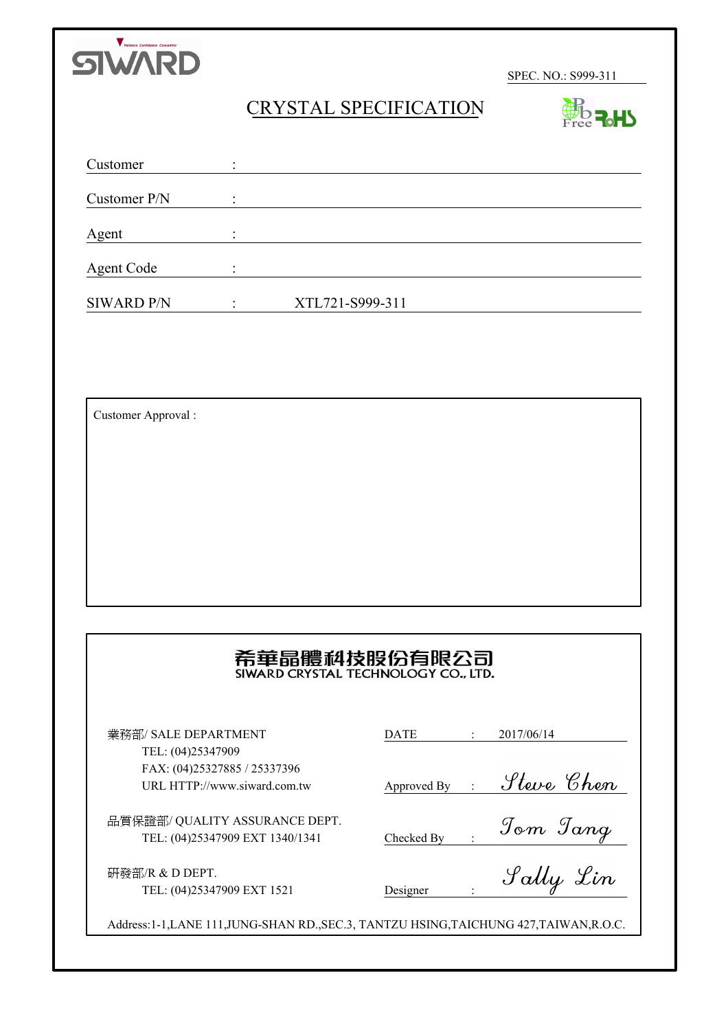

**BO R.HS** 

# CRYSTAL SPECIFICATION

| Customer          | $\bullet$ |                 |  |
|-------------------|-----------|-----------------|--|
| Customer P/N      |           |                 |  |
| Agent             |           |                 |  |
| <b>Agent Code</b> |           |                 |  |
| <b>SIWARD P/N</b> |           | XTL721-S999-311 |  |

Customer Approval :

# 希華晶體科技股份有限公司

業務部/ SALE DEPARTMENT TEL: (04)25347909 FAX: (04)25327885 / 25337396 URL HTTP://www.siward.com.tw

品質保證部/ QUALITY ASSURANCE DEPT. TEL: (04)25347909 EXT 1340/1341

研發部/R & D DEPT. TEL: (04)25347909 EXT 1521

| DATE | 706/14 |
|------|--------|
|      |        |

Approved By :

Checked By :

Designer :

Address:1-1,LANE 111,JUNG-SHAN RD.,SEC.3, TANTZU HSING,TAICHUNG 427,TAIWAN,R.O.C.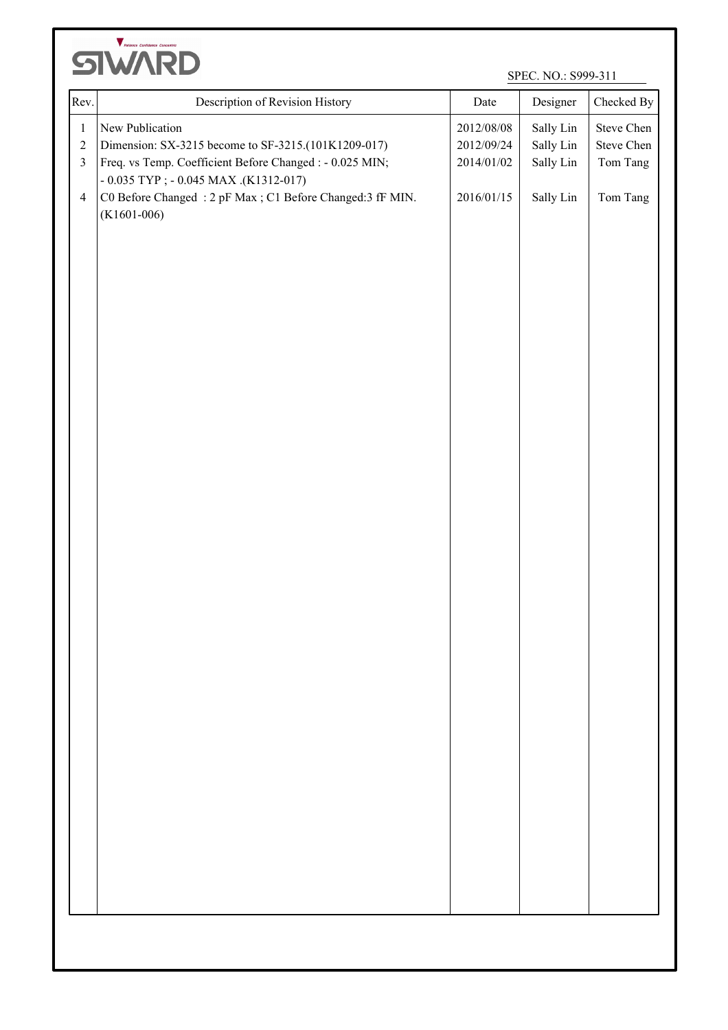

| $\,1$<br>$\sqrt{2}$<br>$\overline{\mathbf{3}}$<br>$\overline{4}$ | New Publication<br>Dimension: SX-3215 become to SF-3215.(101K1209-017)<br>Freq. vs Temp. Coefficient Before Changed : - 0.025 MIN; | 2012/08/08<br>2012/09/24 | Sally Lin<br>Sally Lin | Steve Chen             |
|------------------------------------------------------------------|------------------------------------------------------------------------------------------------------------------------------------|--------------------------|------------------------|------------------------|
|                                                                  |                                                                                                                                    | 2014/01/02               | Sally Lin              | Steve Chen<br>Tom Tang |
|                                                                  | $-0.035$ TYP ; $-0.045$ MAX .(K1312-017)<br>C0 Before Changed: 2 pF Max; C1 Before Changed: 3 fF MIN.<br>$(K1601-006)$             | 2016/01/15               | Sally Lin              | Tom Tang               |
|                                                                  |                                                                                                                                    |                          |                        |                        |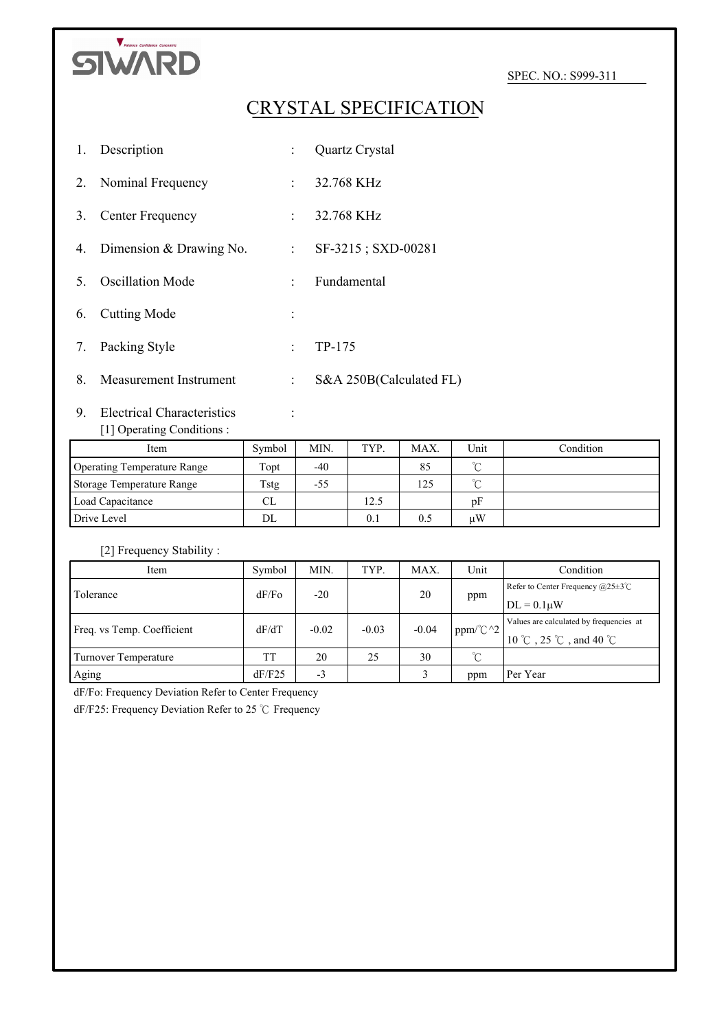

# CRYSTAL SPECIFICATION

| 1. | Description                |                            | Quartz Crystal          |
|----|----------------------------|----------------------------|-------------------------|
| 2. | Nominal Frequency          |                            | $: 32.768 \text{ KHz}$  |
| 3. | Center Frequency           |                            | $: 32.768 \text{ KHz}$  |
|    | 4. Dimension & Drawing No. | $\mathcal{L}^{\text{max}}$ | SF-3215; SXD-00281      |
| 5  | <b>Oscillation Mode</b>    | $\sim$                     | Fundamental             |
| 6. | <b>Cutting Mode</b>        |                            |                         |
| 7. | Packing Style              | t.                         | TP-175                  |
| 8. | Measurement Instrument     | ÷                          | S&A 250B(Calculated FL) |

# 9. Electrical Characteristics : [1] Operating Conditions :

| Item                        | Symbol | MIN.  | TYP. | MAX. | Unit   | Condition |
|-----------------------------|--------|-------|------|------|--------|-----------|
| Operating Temperature Range | Topt   | $-40$ |      | 85   | $\sim$ |           |
| Storage Temperature Range   | Tstg   | -55   |      | 125  | $\sim$ |           |
| Load Capacitance            | CL     |       | 12.5 |      | pF     |           |
| Drive Level                 | DL     |       | 0.1  | 0.5  | иW     |           |

## [2] Frequency Stability :

| Item                       | Symbol | MIN.         | TYP.    | MAX.    | Unit                | Condition                                       |
|----------------------------|--------|--------------|---------|---------|---------------------|-------------------------------------------------|
| I Tolerance                | dF/Fo  | $-20$        |         | 20      |                     | Refer to Center Frequency $(a)25\pm3^{\circ}$ C |
|                            |        |              |         |         | ppm                 | $\text{DL} = 0.1 \mu W$                         |
| Freq. vs Temp. Coefficient | dF/dT  | $-0.02$      | $-0.03$ | $-0.04$ | ppm/ $\mathbb{C}^2$ | Values are calculated by frequencies at         |
|                            |        |              |         |         |                     | 10 °C , 25 °C , and 40 °C                       |
| Turnover Temperature       | TT     | 20           | 25      | 30      | $^{\circ}$ C        |                                                 |
| Aging                      | dF/F25 | $\sim$<br>-3 |         |         | ppm                 | Per Year                                        |

dF/Fo: Frequency Deviation Refer to Center Frequency

dF/F25: Frequency Deviation Refer to 25 ℃ Frequency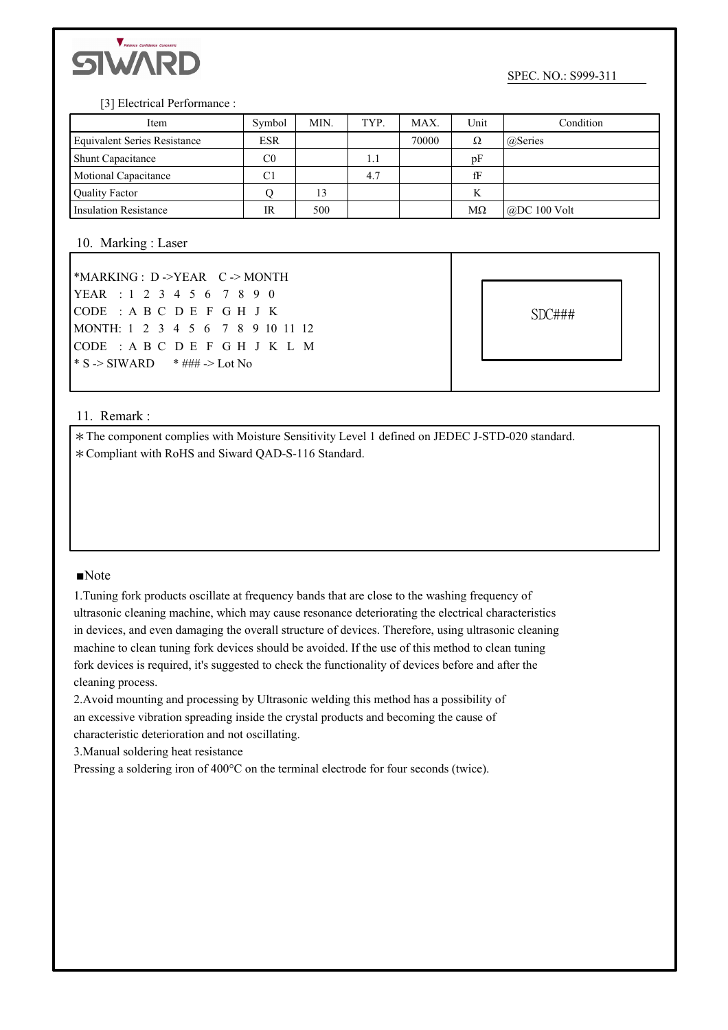

#### [3] Electrical Performance :

| Item                                | Symbol     | MIN. | TYP. | MAX.  | Unit      | Condition            |
|-------------------------------------|------------|------|------|-------|-----------|----------------------|
| <b>Equivalent Series Resistance</b> | <b>ESR</b> |      |      | 70000 | Ω         | @Series              |
| <b>Shunt Capacitance</b>            | C0         |      | 1.1  |       | pF        |                      |
| <b>Motional Capacitance</b>         | C1         |      | 4.7  |       | fF        |                      |
| <b>Quality Factor</b>               |            | 13   |      |       | K         |                      |
| <b>Insulation Resistance</b>        | IR         | 500  |      |       | $M\Omega$ | $\omega$ DC 100 Volt |

#### 10. Marking : Laser

| *MARKING : $D$ ->YEAR $C$ -> MONTH |  |  |  |  |  |  |  |
|------------------------------------|--|--|--|--|--|--|--|
| YEAR : 1 2 3 4 5 6 7 8 9 0         |  |  |  |  |  |  |  |
| CODE : A B C D E F G H J K         |  |  |  |  |  |  |  |
| MONTH: 1 2 3 4 5 6 7 8 9 10 11 12  |  |  |  |  |  |  |  |
| CODE: A B C D E F G H J K L M      |  |  |  |  |  |  |  |
|                                    |  |  |  |  |  |  |  |

SDC###

#### 11. Remark :

\*The component complies with Moisture Sensitivity Level 1 defined on JEDEC J-STD-020 standard. \*Compliant with RoHS and Siward QAD-S-116 Standard.

#### ■Note

1.Tuning fork products oscillate at frequency bands that are close to the washing frequency of ultrasonic cleaning machine, which may cause resonance deteriorating the electrical characteristics in devices, and even damaging the overall structure of devices. Therefore, using ultrasonic cleaning machine to clean tuning fork devices should be avoided. If the use of this method to clean tuning fork devices is required, it's suggested to check the functionality of devices before and after the cleaning process.

2.Avoid mounting and processing by Ultrasonic welding this method has a possibility of an excessive vibration spreading inside the crystal products and becoming the cause of characteristic deterioration and not oscillating.

3.Manual soldering heat resistance

Pressing a soldering iron of 400°C on the terminal electrode for four seconds (twice).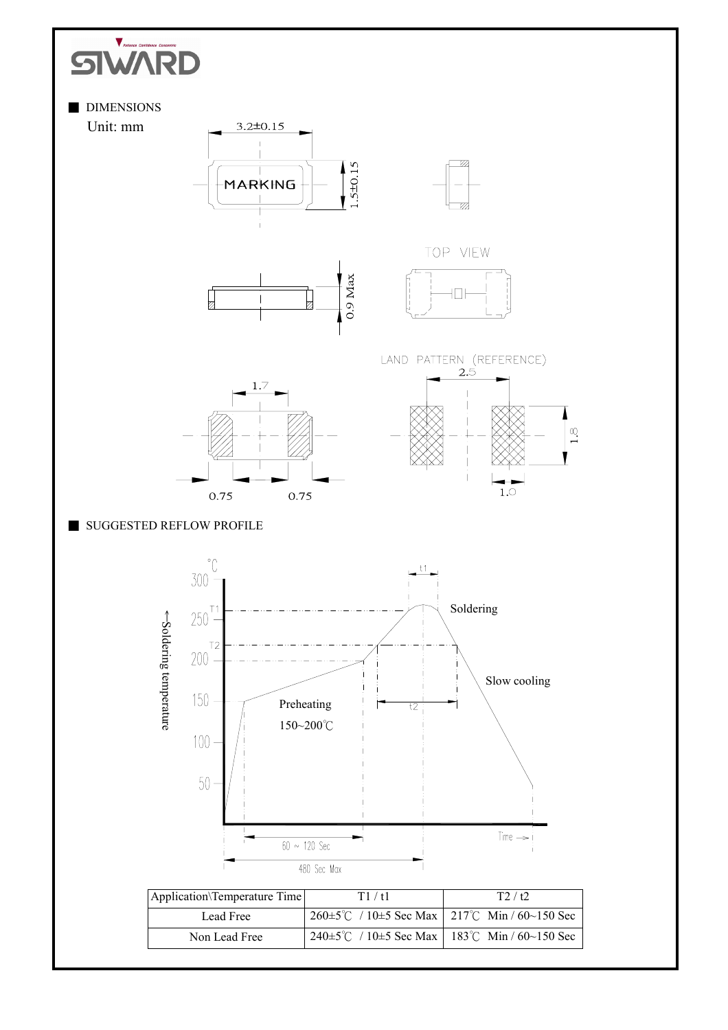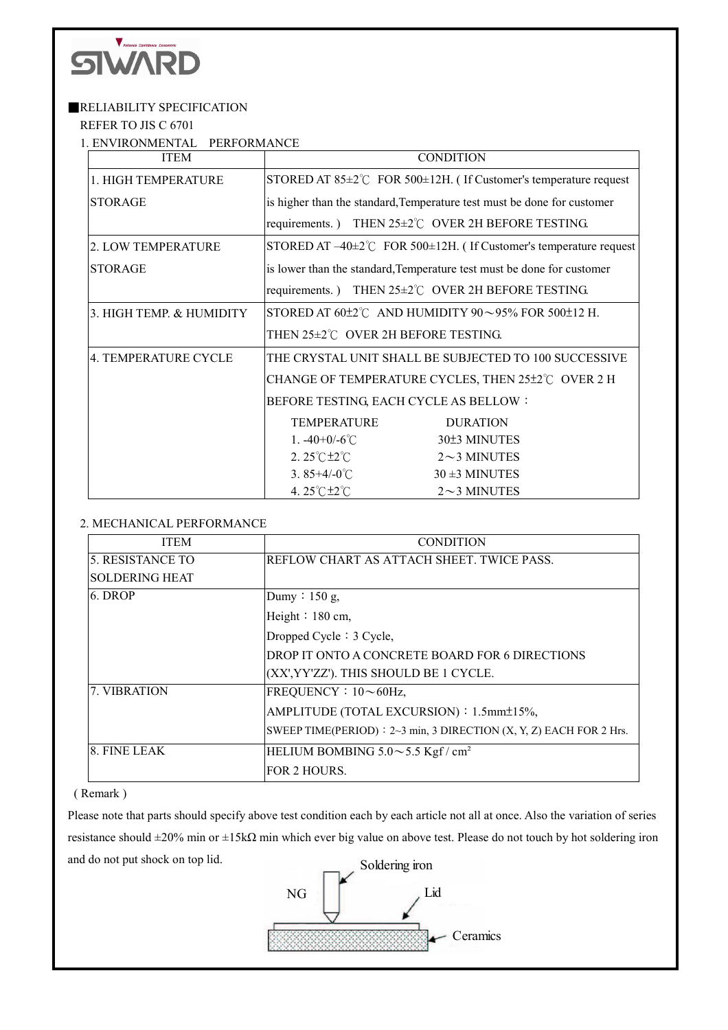

### **RELIABILITY SPECIFICATION**

REFER TO JIS C 6701

1. ENVIRONMENTAL PERFORMANCE

| <b>ITEM</b>              | <b>CONDITION</b>                                                                 |
|--------------------------|----------------------------------------------------------------------------------|
| 1. HIGH TEMPERATURE      | STORED AT $85\pm2\degree$ C FOR $500\pm12$ H. (If Customer's temperature request |
| <b>STORAGE</b>           | is higher than the standard, Temperature test must be done for customer          |
|                          | requirements.) THEN 25±2°C OVER 2H BEFORE TESTING.                               |
| 2. LOW TEMPERATURE       | STORED AT $-40\pm2\degree$ FOR 500 $\pm12$ H. (If Customer's temperature request |
| <b>STORAGE</b>           | is lower than the standard, Temperature test must be done for customer           |
|                          | requirements.) THEN 25±2°C OVER 2H BEFORE TESTING.                               |
| 3. HIGH TEMP. & HUMIDITY | STORED AT $60\pm2\degree$ C AND HUMIDITY $90\sim95\%$ FOR $500\pm12$ H.          |
|                          | THEN 25±2°C OVER 2H BEFORE TESTING.                                              |
| 4. TEMPERATURE CYCLE     | THE CRYSTAL UNIT SHALL BE SUBJECTED TO 100 SUCCESSIVE                            |
|                          | CHANGE OF TEMPERATURE CYCLES, THEN 25±2°C OVER 2 H                               |
|                          | BEFORE TESTING, EACH CYCLE AS BELLOW:                                            |
|                          | <b>TEMPERATURE</b><br><b>DURATION</b>                                            |
|                          | 30±3 MINUTES<br>1. $-40+0/-6$ °C                                                 |
|                          | 2. $25^{\circ}$ C $\pm 2^{\circ}$ C<br>$2 \sim$ 3 MINUTES                        |
|                          | 3.85+4/-0 $\degree$ C<br>$30 \pm 3$ MINUTES                                      |
|                          | 4.25°C ±2°C<br>$2\sim$ 3 MINUTES                                                 |

## 2. MECHANICAL PERFORMANCE

| <b>ITEM</b>           | <b>CONDITION</b>                                                      |
|-----------------------|-----------------------------------------------------------------------|
| 5. RESISTANCE TO      | REFLOW CHART AS ATTACH SHEET. TWICE PASS.                             |
| <b>SOLDERING HEAT</b> |                                                                       |
| 6. DROP               | Dumy: $150$ g,                                                        |
|                       | Height $: 180$ cm,                                                    |
|                       | Dropped Cycle: 3 Cycle,                                               |
|                       | DROP IT ONTO A CONCRETE BOARD FOR 6 DIRECTIONS                        |
|                       | (XX', YY'ZZ'). THIS SHOULD BE 1 CYCLE.                                |
| 7. VIBRATION          | FREQUENCY: 10~60Hz                                                    |
|                       | AMPLITUDE (TOTAL EXCURSION): 1.5mm±15%,                               |
|                       | SWEEP TIME(PERIOD) : $2~3$ min, 3 DIRECTION (X, Y, Z) EACH FOR 2 Hrs. |
| 8. FINE LEAK          | HELIUM BOMBING $5.0 \sim 5.5$ Kgf / cm <sup>2</sup>                   |
|                       | FOR 2 HOURS.                                                          |

#### ( Remark )

Please note that parts should specify above test condition each by each article not all at once. Also the variation of series resistance should ±20% min or ±15kΩ min which ever big value on above test. Please do not touch by hot soldering iron and do not put shock on top lid.

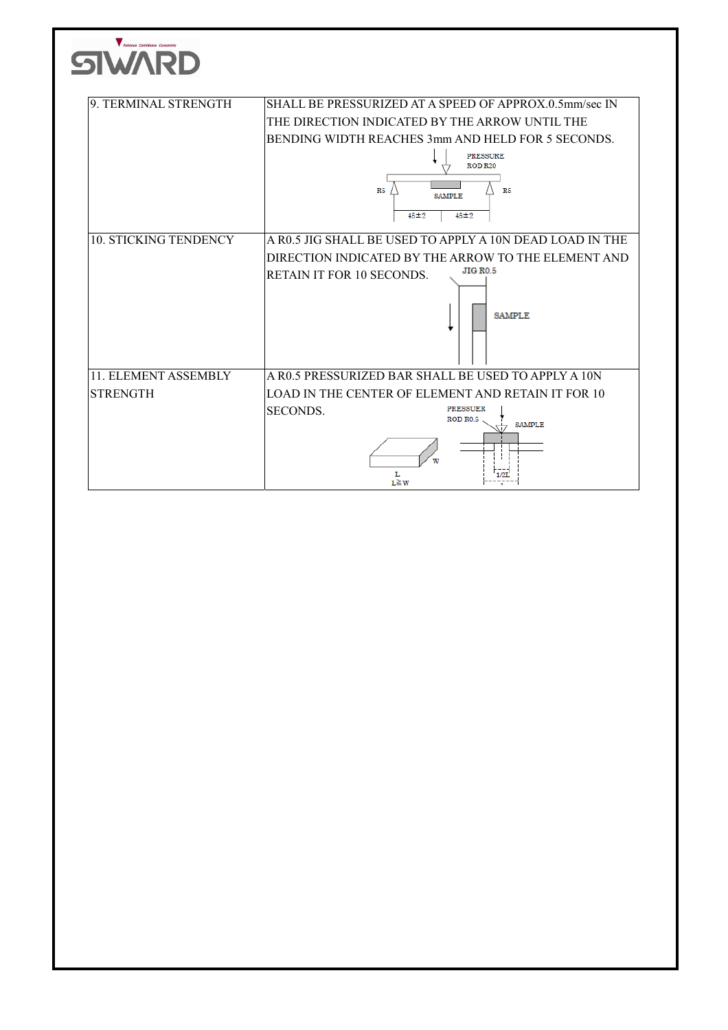| 9. TERMINAL STRENGTH         | SHALL BE PRESSURIZED AT A SPEED OF APPROX.0.5mm/sec IN   |
|------------------------------|----------------------------------------------------------|
|                              | THE DIRECTION INDICATED BY THE ARROW UNTIL THE           |
|                              | BENDING WIDTH REACHES 3mm AND HELD FOR 5 SECONDS.        |
|                              | <b>PRESSURE</b><br><b>ROD R20</b>                        |
|                              |                                                          |
|                              | R5<br>R <sub>5</sub><br><b>SAMPLE</b>                    |
|                              | $45 + 2$<br>$45 + 2$                                     |
| <b>10. STICKING TENDENCY</b> | A R0.5 JIG SHALL BE USED TO APPLY A 10N DEAD LOAD IN THE |
|                              | DIRECTION INDICATED BY THE ARROW TO THE ELEMENT AND      |
|                              | <b>JIG RO.5</b><br><b>RETAIN IT FOR 10 SECONDS.</b>      |
|                              |                                                          |
|                              | <b>SAMPLE</b>                                            |
| 11. ELEMENT ASSEMBLY         | A R0.5 PRESSURIZED BAR SHALL BE USED TO APPLY A 10N      |
| <b>STRENGTH</b>              | LOAD IN THE CENTER OF ELEMENT AND RETAIN IT FOR 10       |
|                              | <b>PRESSUER</b><br>SECONDS.                              |
|                              | ROD R0.5<br><b>SAMPLE</b>                                |
|                              |                                                          |
|                              |                                                          |
|                              |                                                          |